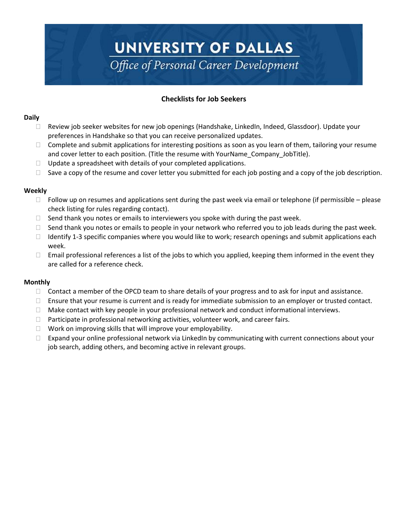# UNIVERSITY OF DALLAS Office of Personal Career Development

# **Checklists for Job Seekers**

#### **Daily**

- $\Box$  Review job seeker websites for new job openings (Handshake, LinkedIn, Indeed, Glassdoor). Update your preferences in Handshake so that you can receive personalized updates.
- $\Box$  Complete and submit applications for interesting positions as soon as you learn of them, tailoring your resume and cover letter to each position. (Title the resume with YourName\_Company\_JobTitle).
- $\Box$  Update a spreadsheet with details of your completed applications.
- $\Box$  Save a copy of the resume and cover letter you submitted for each job posting and a copy of the job description.

## **Weekly**

- $\Box$  Follow up on resumes and applications sent during the past week via email or telephone (if permissible please check listing for rules regarding contact).
- $\Box$  Send thank you notes or emails to interviewers you spoke with during the past week.
- $\Box$  Send thank you notes or emails to people in your network who referred you to job leads during the past week.
- □ Identify 1-3 specific companies where you would like to work; research openings and submit applications each week.
- $\Box$  Email professional references a list of the jobs to which you applied, keeping them informed in the event they are called for a reference check.

## **Monthly**

- $\Box$  Contact a member of the OPCD team to share details of your progress and to ask for input and assistance.
- $\Box$  Ensure that your resume is current and is ready for immediate submission to an employer or trusted contact.
- $\Box$  Make contact with key people in your professional network and conduct informational interviews.
- $\Box$  Participate in professional networking activities, volunteer work, and career fairs.
- $\Box$  Work on improving skills that will improve your employability.
- $\Box$  Expand your online professional network via LinkedIn by communicating with current connections about your job search, adding others, and becoming active in relevant groups.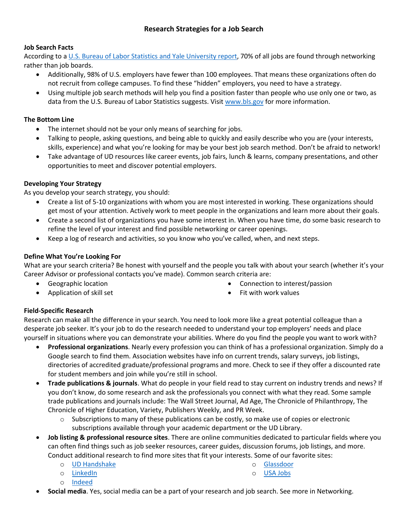# **Job Search Facts**

According to a [U.S. Bureau of Labor Statistics](https://jobs.washingtonpost.com/article/how-to-land-a-job-by-networking/) and Yale University report, 70% of all jobs are found through networking rather than job boards.

- Additionally, 98% of U.S. employers have fewer than 100 employees. That means these organizations often do not recruit from college campuses. To find these "hidden" employers, you need to have a strategy.
- Using multiple job search methods will help you find a position faster than people who use only one or two, as data from the U.S. Bureau of Labor Statistics suggests. Visit [www.bls.gov](http://www.bls.gov/) for more information.

# **The Bottom Line**

- The internet should not be your only means of searching for jobs.
- Talking to people, asking questions, and being able to quickly and easily describe who you are (your interests, skills, experience) and what you're looking for may be your best job search method. Don't be afraid to network!
- Take advantage of UD resources like career events, job fairs, lunch & learns, company presentations, and other opportunities to meet and discover potential employers.

# **Developing Your Strategy**

As you develop your search strategy, you should:

- Create a list of 5-10 organizations with whom you are most interested in working. These organizations should get most of your attention. Actively work to meet people in the organizations and learn more about their goals.
- Create a second list of organizations you have some interest in. When you have time, do some basic research to refine the level of your interest and find possible networking or career openings.
- Keep a log of research and activities, so you know who you've called, when, and next steps.

# **Define What You're Looking For**

What are your search criteria? Be honest with yourself and the people you talk with about your search (whether it's your Career Advisor or professional contacts you've made). Common search criteria are:

- Geographic location
- Application of skill set
- Connection to interest/passion
- Fit with work values

# **Field-Specific Research**

Research can make all the difference in your search. You need to look more like a great potential colleague than a desperate job seeker. It's your job to do the research needed to understand your top employers' needs and place yourself in situations where you can demonstrate your abilities. Where do you find the people you want to work with?

- **Professional organizations**. Nearly every profession you can think of has a professional organization. Simply do a Google search to find them. Association websites have info on current trends, salary surveys, job listings, directories of accredited graduate/professional programs and more. Check to see if they offer a discounted rate for student members and join while you're still in school.
- **Trade publications & journals**. What do people in your field read to stay current on industry trends and news? If you don't know, do some research and ask the professionals you connect with what they read. Some sample trade publications and journals include: The Wall Street Journal, Ad Age, The Chronicle of Philanthropy, The Chronicle of Higher Education, Variety, Publishers Weekly, and PR Week.
	- $\circ$  Subscriptions to many of these publications can be costly, so make use of copies or electronic subscriptions available through your academic department or the UD Library.
- **Job listing & professional resource sites**. There are online communities dedicated to particular fields where you can often find things such as job seeker resources, career guides, discussion forums, job listings, and more. Conduct additional research to find more sites that fit your interests. Some of our favorite sites:
	- o [UD Handshake](udallas.joinhandshake.com)

o [LinkedIn](https://www.linkedin.com/jobs)

- o [Glassdoor](glassdoor.com)
- o [USA Jobs](usajobs.gov)
- o [Indeed](indeed.com)
- **Social media**. Yes, social media can be a part of your research and job search. See more in Networking.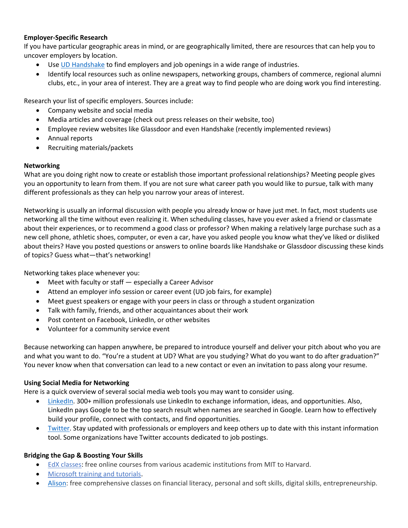## **Employer-Specific Research**

If you have particular geographic areas in mind, or are geographically limited, there are resources that can help you to uncover employers by location.

- Use [UD Handshake](udallas.joinhandshake.com) to find employers and job openings in a wide range of industries.
- Identify local resources such as online newspapers, networking groups, chambers of commerce, regional alumni clubs, etc., in your area of interest. They are a great way to find people who are doing work you find interesting.

Research your list of specific employers. Sources include:

- Company website and social media
- Media articles and coverage (check out press releases on their website, too)
- Employee review websites like Glassdoor and even Handshake (recently implemented reviews)
- Annual reports
- Recruiting materials/packets

## **Networking**

What are you doing right now to create or establish those important professional relationships? Meeting people gives you an opportunity to learn from them. If you are not sure what career path you would like to pursue, talk with many different professionals as they can help you narrow your areas of interest.

Networking is usually an informal discussion with people you already know or have just met. In fact, most students use networking all the time without even realizing it. When scheduling classes, have you ever asked a friend or classmate about their experiences, or to recommend a good class or professor? When making a relatively large purchase such as a new cell phone, athletic shoes, computer, or even a car, have you asked people you know what they've liked or disliked about theirs? Have you posted questions or answers to online boards like Handshake or Glassdoor discussing these kinds of topics? Guess what—that's networking!

Networking takes place whenever you:

- Meet with faculty or staff especially a Career Advisor
- Attend an employer info session or career event (UD job fairs, for example)
- Meet guest speakers or engage with your peers in class or through a student organization
- Talk with family, friends, and other acquaintances about their work
- Post content on Facebook, LinkedIn, or other websites
- Volunteer for a community service event

Because networking can happen anywhere, be prepared to introduce yourself and deliver your pitch about who you are and what you want to do. "You're a student at UD? What are you studying? What do you want to do after graduation?" You never know when that conversation can lead to a new contact or even an invitation to pass along your resume.

## **Using Social Media for Networking**

Here is a quick overview of several social media web tools you may want to consider using.

- [LinkedIn.](linkedin.com) 300+ million professionals use LinkedIn to exchange information, ideas, and opportunities. Also, LinkedIn pays Google to be the top search result when names are searched in Google. Learn how to effectively build your profile, connect with contacts, and find opportunities.
- [Twitter.](twitter.com) Stay updated with professionals or employers and keep others up to date with this instant information tool. Some organizations have Twitter accounts dedicated to job postings.

## **Bridging the Gap & Boosting Your Skills**

- [EdX classes:](https://www.edx.org/) free online courses from various academic institutions from MIT to Harvard.
- [Microsoft training and tutorials.](https://support.office.com/en-us/office-training-center)
- [Alison:](http://alison.com/) free comprehensive classes on financial literacy, personal and soft skills, digital skills, entrepreneurship.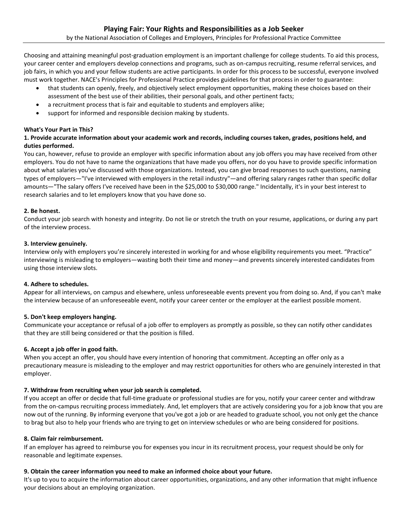Choosing and attaining meaningful post-graduation employment is an important challenge for college students. To aid this process, your career center and employers develop connections and programs, such as on-campus recruiting, resume referral services, and job fairs, in which you and your fellow students are active participants. In order for this process to be successful, everyone involved must work together. NACE's Principles for Professional Practice provides guidelines for that process in order to guarantee:

- that students can openly, freely, and objectively select employment opportunities, making these choices based on their assessment of the best use of their abilities, their personal goals, and other pertinent facts;
- a recruitment process that is fair and equitable to students and employers alike;
- support for informed and responsible decision making by students.

#### **What's Your Part in This?**

### **1. Provide accurate information about your academic work and records, including courses taken, grades, positions held, and duties performed.**

You can, however, refuse to provide an employer with specific information about any job offers you may have received from other employers. You do not have to name the organizations that have made you offers, nor do you have to provide specific information about what salaries you've discussed with those organizations. Instead, you can give broad responses to such questions, naming types of employers—"I've interviewed with employers in the retail industry"—and offering salary ranges rather than specific dollar amounts—"The salary offers I've received have been in the \$25,000 to \$30,000 range." Incidentally, it's in your best interest to research salaries and to let employers know that you have done so.

#### **2. Be honest.**

Conduct your job search with honesty and integrity. Do not lie or stretch the truth on your resume, applications, or during any part of the interview process.

#### **3. Interview genuinely.**

Interview only with employers you're sincerely interested in working for and whose eligibility requirements you meet. "Practice" interviewing is misleading to employers—wasting both their time and money—and prevents sincerely interested candidates from using those interview slots.

#### **4. Adhere to schedules.**

Appear for all interviews, on campus and elsewhere, unless unforeseeable events prevent you from doing so. And, if you can't make the interview because of an unforeseeable event, notify your career center or the employer at the earliest possible moment.

#### **5. Don't keep employers hanging.**

Communicate your acceptance or refusal of a job offer to employers as promptly as possible, so they can notify other candidates that they are still being considered or that the position is filled.

#### **6. Accept a job offer in good faith.**

When you accept an offer, you should have every intention of honoring that commitment. Accepting an offer only as a precautionary measure is misleading to the employer and may restrict opportunities for others who are genuinely interested in that employer.

#### **7. Withdraw from recruiting when your job search is completed.**

If you accept an offer or decide that full-time graduate or professional studies are for you, notify your career center and withdraw from the on-campus recruiting process immediately. And, let employers that are actively considering you for a job know that you are now out of the running. By informing everyone that you've got a job or are headed to graduate school, you not only get the chance to brag but also to help your friends who are trying to get on interview schedules or who are being considered for positions.

#### **8. Claim fair reimbursement.**

If an employer has agreed to reimburse you for expenses you incur in its recruitment process, your request should be only for reasonable and legitimate expenses.

#### **9. Obtain the career information you need to make an informed choice about your future.**

It's up to you to acquire the information about career opportunities, organizations, and any other information that might influence your decisions about an employing organization.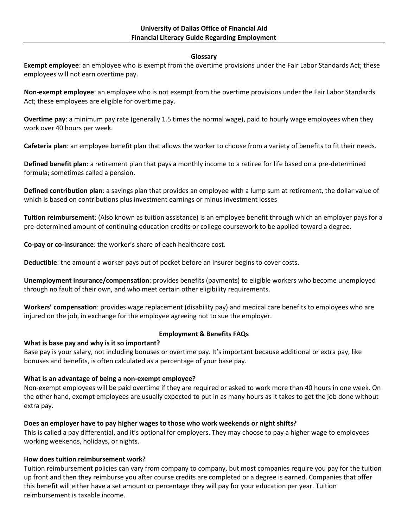#### **Glossary**

**Exempt employee**: an employee who is exempt from the overtime provisions under the Fair Labor Standards Act; these employees will not earn overtime pay.

**Non-exempt employee**: an employee who is not exempt from the overtime provisions under the Fair Labor Standards Act; these employees are eligible for overtime pay.

**Overtime pay**: a minimum pay rate (generally 1.5 times the normal wage), paid to hourly wage employees when they work over 40 hours per week.

**Cafeteria plan**: an employee benefit plan that allows the worker to choose from a variety of benefits to fit their needs.

**Defined benefit plan**: a retirement plan that pays a monthly income to a retiree for life based on a pre-determined formula; sometimes called a pension.

**Defined contribution plan**: a savings plan that provides an employee with a lump sum at retirement, the dollar value of which is based on contributions plus investment earnings or minus investment losses

**Tuition reimbursement**: (Also known as tuition assistance) is an employee benefit through which an employer pays for a pre-determined amount of continuing education credits or college coursework to be applied toward a degree.

**Co-pay or co-insurance**: the worker's share of each healthcare cost.

**Deductible**: the amount a worker pays out of pocket before an insurer begins to cover costs.

**Unemployment insurance/compensation**: provides benefits (payments) to eligible workers who become unemployed through no fault of their own, and who meet certain other eligibility requirements.

**Workers' compensation**: provides wage replacement (disability pay) and medical care benefits to employees who are injured on the job, in exchange for the employee agreeing not to sue the employer.

# **What is base pay and why is it so important?**

## **Employment & Benefits FAQs**

Base pay is your salary, not including bonuses or overtime pay. It's important because additional or extra pay, like bonuses and benefits, is often calculated as a percentage of your base pay.

# **What is an advantage of being a non-exempt employee?**

Non-exempt employees will be paid overtime if they are required or asked to work more than 40 hours in one week. On the other hand, exempt employees are usually expected to put in as many hours as it takes to get the job done without extra pay.

# **Does an employer have to pay higher wages to those who work weekends or night shifts?**

This is called a pay differential, and it's optional for employers. They may choose to pay a higher wage to employees working weekends, holidays, or nights.

## **How does tuition reimbursement work?**

Tuition reimbursement policies can vary from company to company, but most companies require you pay for the tuition up front and then they reimburse you after course credits are completed or a degree is earned. Companies that offer this benefit will either have a set amount or percentage they will pay for your education per year. Tuition reimbursement is taxable income.